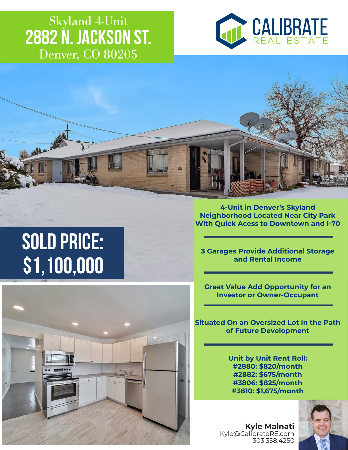### Denver, CO 80205 Skyland 4-Unit **2882 N. Jackson St.**





# **\$1,100,000 SOLD PRICE:**

**4-Unit in Denver's Skyland Neighborhood Located Near City Park With Quick Acess to Downtown and I-70**

**3 Garages Provide Additional Storage and Rental Income**

**Great Value Add Opportunity for an Investor or Owner-Occupant**

**Situated On an Oversized Lot in the Path of Future Development**

> **Unit by Unit Rent Roll: #2880: \$820/month #2882: \$675/month #3806: \$825/month #3810: \$1,675/month**



**Kyle Malnati** Kyle@CalibrateRE.com 303.358.4250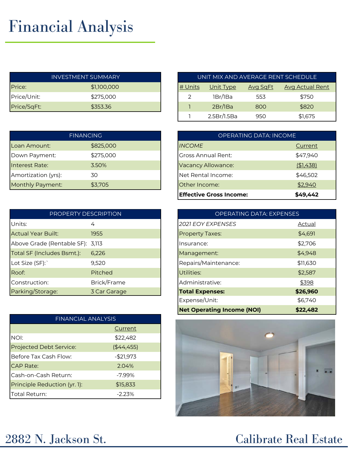## Financial Analysis

|             | <b>INVESTMENT SUMMARY</b> |         | UNIT MIX AND AVERAGE RENT SCHEDUL |                 |                  |
|-------------|---------------------------|---------|-----------------------------------|-----------------|------------------|
| Price:      | \$1,100,000               | # Units | <u>Unit Type</u>                  | <b>Avg SqFt</b> | <b>Avg Actua</b> |
| Price/Unit: | \$275,000                 |         | 1Br/1Ba                           | 553             | \$750            |
| Price/SqFt: | \$353.36                  |         | 2Br/IBa                           | 800             | \$820            |

| <b>FINANCING</b>    |           | OPERATING DATA: INCOME    |           |
|---------------------|-----------|---------------------------|-----------|
| Loan Amount:        | \$825,000 | <b>INCOME</b>             | Current   |
| Down Payment:       | \$275,000 | <b>Gross Annual Rent:</b> | \$47,940  |
| Interest Rate:      | 3.50%     | Vacancy Allowance:        | (\$1,438) |
| Amortization (yrs): | 30        | Net Rental Income:        | \$46,502  |
| Monthly Payment:    | \$3,705   | Other Income:             | \$2,940   |

| PROPERTY DESCRIPTION             |                | <b>OPERATING DATA: EXPENSES</b> |  |
|----------------------------------|----------------|---------------------------------|--|
| Units:                           | 4              | <b>2021 EOY EXPENSES</b>        |  |
| <b>Actual Year Built:</b>        | 1955           | <b>Property Taxes:</b>          |  |
| Above Grade (Rentable SF): 3,113 |                | Insurance:                      |  |
| Total SF (Includes Bsmt.):       | 6,226          | Management:                     |  |
| Lot Size (SF):                   | 9,520          | Repairs/Maintenance:            |  |
| Roof:                            | <b>Pitched</b> | Utilities:                      |  |
| Construction:                    | Brick/Frame    | Administrative:                 |  |
| Parking/Storage:                 | 3 Car Garage   | <b>Total Expenses:</b>          |  |

| <b>FINANCIAL ANALYSIS</b>    |            |  |  |
|------------------------------|------------|--|--|
|                              | Current    |  |  |
| NOI:                         | \$22,482   |  |  |
| Projected Debt Service:      | (44, 455)  |  |  |
| Before Tax Cash Flow:        | $-$21,973$ |  |  |
| <b>CAP Rate:</b>             | 2.04%      |  |  |
| Cash-on-Cash Return:         | $-7.99\%$  |  |  |
| Principle Reduction (yr. 1): | \$15,833   |  |  |
| Total Return:                | $-2.23%$   |  |  |

|             | <b>INVESTMENT SUMMARY</b> |         |             |                 | UNIT MIX AND AVERAGE RENT SCHEDULE |
|-------------|---------------------------|---------|-------------|-----------------|------------------------------------|
| Price:      | \$1,100,000               | # Units | Unit Type   | <b>Avg SgFt</b> | <b>Avg Actual Rent</b>             |
| Price/Unit: | \$275,000                 |         | 1Br/1Ba     | 553             | \$750                              |
| Price/SqFt: | \$353.36                  |         | 2Br/1Ba     | 800             | \$820                              |
|             |                           |         | 2.5Br/1.5Ba | 950             | \$1,675                            |

| <b>OPERATING DATA: INCOME</b>  |           |  |  |  |
|--------------------------------|-----------|--|--|--|
| <b>INCOME</b>                  | Current   |  |  |  |
| Gross Annual Rent:             | \$47,940  |  |  |  |
| <b>Vacancy Allowance:</b>      | (\$1,438) |  |  |  |
| Net Rental Income:             | \$46,502  |  |  |  |
| Other Income:                  | \$2,940   |  |  |  |
| <b>Effective Gross Income:</b> | \$49.442  |  |  |  |

| <b>OPERATING DATA: EXPENSES</b>   |          |  |  |  |
|-----------------------------------|----------|--|--|--|
| <b>2021 EOY EXPENSES</b>          | Actual   |  |  |  |
| <b>Property Taxes:</b>            | \$4,691  |  |  |  |
| Insurance:                        | \$2,706  |  |  |  |
| Management:                       | \$4,948  |  |  |  |
| Repairs/Maintenance:              | \$11,630 |  |  |  |
| Utilities:                        | \$2,587  |  |  |  |
| Administrative:                   | \$398    |  |  |  |
| <b>Total Expenses:</b>            | \$26,960 |  |  |  |
| Expense/Unit:                     | \$6,740  |  |  |  |
| <b>Net Operating Income (NOI)</b> | \$22,482 |  |  |  |



### 2882 N. Jackson St. Calibrate Real Estate